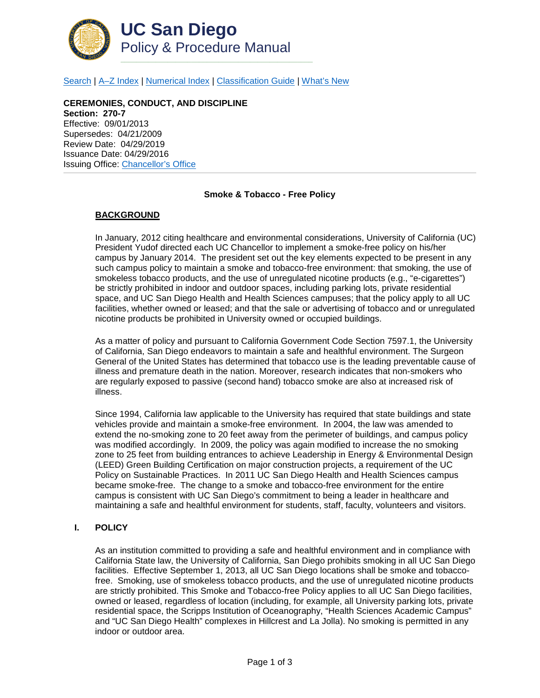

[Search](http://adminrecords.ucsd.edu/ppm/index.html) | [A–Z Index](http://adminrecords.ucsd.edu/ppm/ppmindex.html) | [Numerical Index](http://adminrecords.ucsd.edu/ppm/numerical.html) | [Classification Guide](http://adminrecords.ucsd.edu/ppm/alphabetical.html) | [What's New](http://adminrecords.ucsd.edu/ppm/whatsnew.html)

**CEREMONIES, CONDUCT, AND DISCIPLINE Section: 270-7** Effective: 09/01/2013 Supersedes: 04/21/2009 Review Date: 04/29/2019 Issuance Date: 04/29/2016 Issuing Office: [Chancellor's Office](http://chancellor.ucsd.edu/about-the-office)

#### **Smoke & Tobacco - Free Policy**

## **BACKGROUND**

In January, 2012 citing healthcare and environmental considerations, University of California (UC) President Yudof directed each UC Chancellor to implement a smoke-free policy on his/her campus by January 2014. The president set out the key elements expected to be present in any such campus policy to maintain a smoke and tobacco-free environment: that smoking, the use of smokeless tobacco products, and the use of unregulated nicotine products (e.g., "e-cigarettes") be strictly prohibited in indoor and outdoor spaces, including parking lots, private residential space, and UC San Diego Health and Health Sciences campuses; that the policy apply to all UC facilities, whether owned or leased; and that the sale or advertising of tobacco and or unregulated nicotine products be prohibited in University owned or occupied buildings.

As a matter of policy and pursuant to California Government Code Section 7597.1, the University of California, San Diego endeavors to maintain a safe and healthful environment. The Surgeon General of the United States has determined that tobacco use is the leading preventable cause of illness and premature death in the nation. Moreover, research indicates that non-smokers who are regularly exposed to passive (second hand) tobacco smoke are also at increased risk of illness.

Since 1994, California law applicable to the University has required that state buildings and state vehicles provide and maintain a smoke-free environment. In 2004, the law was amended to extend the no-smoking zone to 20 feet away from the perimeter of buildings, and campus policy was modified accordingly. In 2009, the policy was again modified to increase the no smoking zone to 25 feet from building entrances to achieve Leadership in Energy & Environmental Design (LEED) Green Building Certification on major construction projects, a requirement of the UC Policy on Sustainable Practices. In 2011 UC San Diego Health and Health Sciences campus became smoke-free. The change to a smoke and tobacco-free environment for the entire campus is consistent with UC San Diego's commitment to being a leader in healthcare and maintaining a safe and healthful environment for students, staff, faculty, volunteers and visitors.

#### **I. POLICY**

As an institution committed to providing a safe and healthful environment and in compliance with California State law, the University of California, San Diego prohibits smoking in all UC San Diego facilities. Effective September 1, 2013, all UC San Diego locations shall be smoke and tobaccofree. Smoking, use of smokeless tobacco products, and the use of unregulated nicotine products are strictly prohibited. This Smoke and Tobacco-free Policy applies to all UC San Diego facilities, owned or leased, regardless of location (including, for example, all University parking lots, private residential space, the Scripps Institution of Oceanography, "Health Sciences Academic Campus" and "UC San Diego Health" complexes in Hillcrest and La Jolla). No smoking is permitted in any indoor or outdoor area.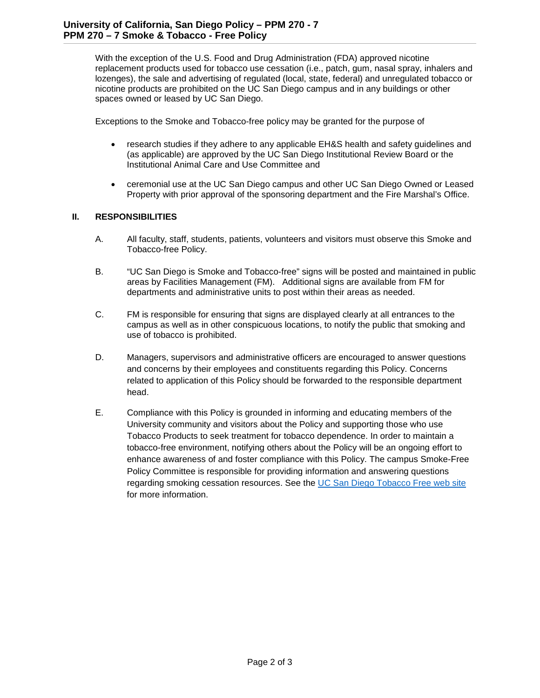With the exception of the U.S. Food and Drug Administration (FDA) approved nicotine replacement products used for tobacco use cessation (i.e., patch, gum, nasal spray, inhalers and lozenges), the sale and advertising of regulated (local, state, federal) and unregulated tobacco or nicotine products are prohibited on the UC San Diego campus and in any buildings or other spaces owned or leased by UC San Diego.

Exceptions to the Smoke and Tobacco-free policy may be granted for the purpose of

- research studies if they adhere to any applicable EH&S health and safety guidelines and (as applicable) are approved by the UC San Diego Institutional Review Board or the Institutional Animal Care and Use Committee and
- ceremonial use at the UC San Diego campus and other UC San Diego Owned or Leased Property with prior approval of the sponsoring department and the Fire Marshal's Office.

# **II. RESPONSIBILITIES**

- A. All faculty, staff, students, patients, volunteers and visitors must observe this Smoke and Tobacco-free Policy.
- B. "UC San Diego is Smoke and Tobacco-free" signs will be posted and maintained in public areas by Facilities Management (FM). Additional signs are available from FM for departments and administrative units to post within their areas as needed.
- C. FM is responsible for ensuring that signs are displayed clearly at all entrances to the campus as well as in other conspicuous locations, to notify the public that smoking and use of tobacco is prohibited.
- D. Managers, supervisors and administrative officers are encouraged to answer questions and concerns by their employees and constituents regarding this Policy. Concerns related to application of this Policy should be forwarded to the responsible department head.
- E. Compliance with this Policy is grounded in informing and educating members of the University community and visitors about the Policy and supporting those who use Tobacco Products to seek treatment for tobacco dependence. In order to maintain a tobacco-free environment, notifying others about the Policy will be an ongoing effort to enhance awareness of and foster compliance with this Policy. The campus Smoke-Free Policy Committee is responsible for providing information and answering questions regarding smoking cessation resources. See the [UC San Diego Tobacco Free web site](http://smokefree.ucsd.edu/) for more information.